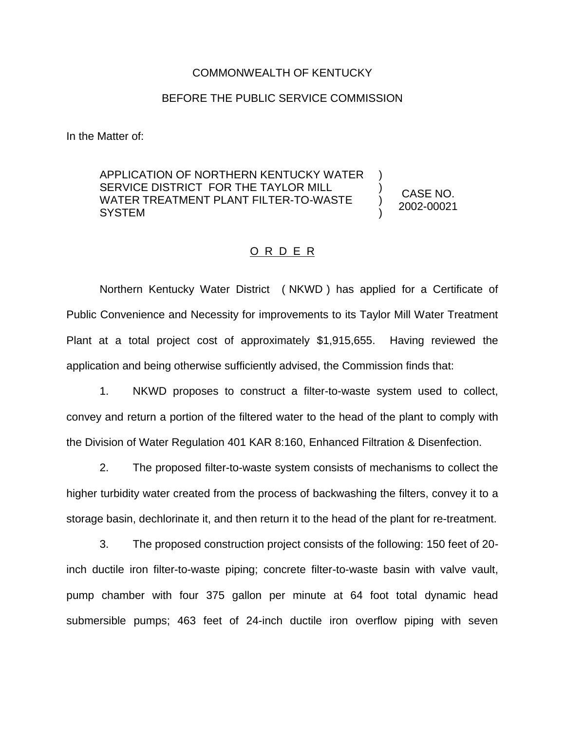## COMMONWEALTH OF KENTUCKY

## BEFORE THE PUBLIC SERVICE COMMISSION

In the Matter of:

APPLICATION OF NORTHERN KENTUCKY WATER SERVICE DISTRICT FOR THE TAYLOR MILL WATER TREATMENT PLANT FILTER-TO-WASTE SYSTEM

CASE NO. 2002-00021

) ) ) )

## O R D E R

Northern Kentucky Water District ( NKWD ) has applied for a Certificate of Public Convenience and Necessity for improvements to its Taylor Mill Water Treatment Plant at a total project cost of approximately \$1,915,655. Having reviewed the application and being otherwise sufficiently advised, the Commission finds that:

1. NKWD proposes to construct a filter-to-waste system used to collect, convey and return a portion of the filtered water to the head of the plant to comply with the Division of Water Regulation 401 KAR 8:160, Enhanced Filtration & Disenfection.

2. The proposed filter-to-waste system consists of mechanisms to collect the higher turbidity water created from the process of backwashing the filters, convey it to a storage basin, dechlorinate it, and then return it to the head of the plant for re-treatment.

3. The proposed construction project consists of the following: 150 feet of 20 inch ductile iron filter-to-waste piping; concrete filter-to-waste basin with valve vault, pump chamber with four 375 gallon per minute at 64 foot total dynamic head submersible pumps; 463 feet of 24-inch ductile iron overflow piping with seven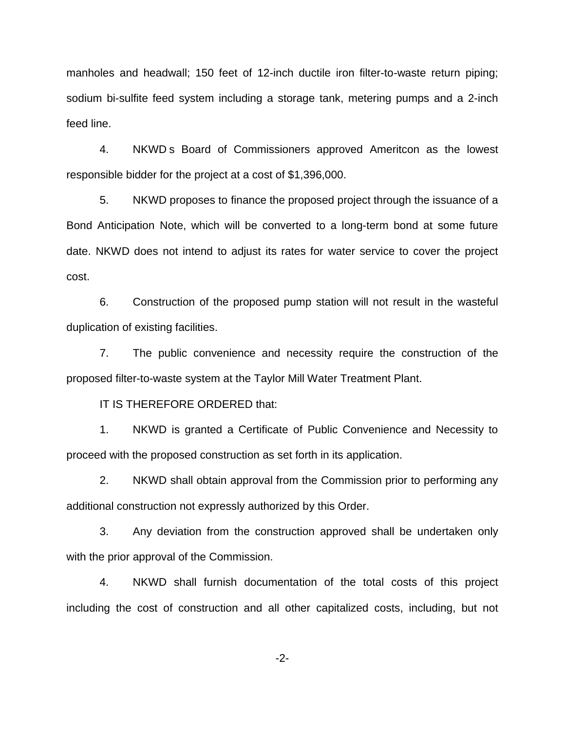manholes and headwall; 150 feet of 12-inch ductile iron filter-to-waste return piping; sodium bi-sulfite feed system including a storage tank, metering pumps and a 2-inch feed line.

4. NKWD s Board of Commissioners approved Ameritcon as the lowest responsible bidder for the project at a cost of \$1,396,000.

5. NKWD proposes to finance the proposed project through the issuance of a Bond Anticipation Note, which will be converted to a long-term bond at some future date. NKWD does not intend to adjust its rates for water service to cover the project cost.

6. Construction of the proposed pump station will not result in the wasteful duplication of existing facilities.

7. The public convenience and necessity require the construction of the proposed filter-to-waste system at the Taylor Mill Water Treatment Plant.

IT IS THEREFORE ORDERED that:

1. NKWD is granted a Certificate of Public Convenience and Necessity to proceed with the proposed construction as set forth in its application.

2. NKWD shall obtain approval from the Commission prior to performing any additional construction not expressly authorized by this Order.

3. Any deviation from the construction approved shall be undertaken only with the prior approval of the Commission.

4. NKWD shall furnish documentation of the total costs of this project including the cost of construction and all other capitalized costs, including, but not

-2-